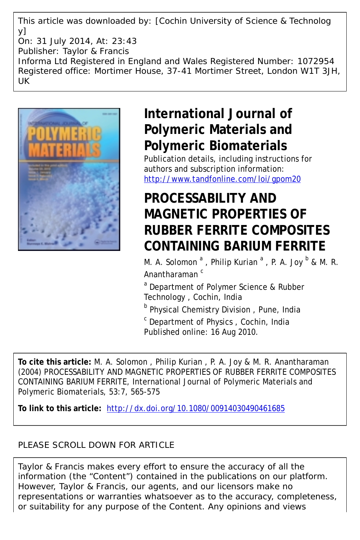This article was downloaded by: [Cochin University of Science & Technolog y] On: 31 July 2014, At: 23:43 Publisher: Taylor & Francis Informa Ltd Registered in England and Wales Registered Number: 1072954 Registered office: Mortimer House, 37-41 Mortimer Street, London W1T 3JH, UK



# **International Journal of Polymeric Materials and Polymeric Biomaterials**

Publication details, including instructions for authors and subscription information: <http://www.tandfonline.com/loi/gpom20>

# **PROCESSABILITY AND MAGNETIC PROPERTIES OF RUBBER FERRITE COMPOSITES CONTAINING BARIUM FERRITE**

M. A. Solomon  $^a$  , Philip Kurian  $^a$  , P. A. Joy  $^b$  & M. R. Anantharaman<sup>c</sup>

<sup>a</sup> Department of Polymer Science & Rubber Technology , Cochin, India

**b** Physical Chemistry Division, Pune, India

<sup>c</sup> Department of Physics, Cochin, India Published online: 16 Aug 2010.

**To cite this article:** M. A. Solomon , Philip Kurian , P. A. Joy & M. R. Anantharaman (2004) PROCESSABILITY AND MAGNETIC PROPERTIES OF RUBBER FERRITE COMPOSITES CONTAINING BARIUM FERRITE, International Journal of Polymeric Materials and Polymeric Biomaterials, 53:7, 565-575

**To link to this article:** <http://dx.doi.org/10.1080/00914030490461685>

## PLEASE SCROLL DOWN FOR ARTICLE

Taylor & Francis makes every effort to ensure the accuracy of all the information (the "Content") contained in the publications on our platform. However, Taylor & Francis, our agents, and our licensors make no representations or warranties whatsoever as to the accuracy, completeness, or suitability for any purpose of the Content. Any opinions and views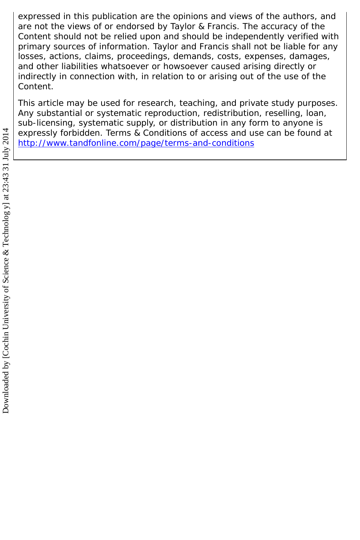expressed in this publication are the opinions and views of the authors, and are not the views of or endorsed by Taylor & Francis. The accuracy of the Content should not be relied upon and should be independently verified with primary sources of information. Taylor and Francis shall not be liable for any losses, actions, claims, proceedings, demands, costs, expenses, damages, and other liabilities whatsoever or howsoever caused arising directly or indirectly in connection with, in relation to or arising out of the use of the Content.

This article may be used for research, teaching, and private study purposes. Any substantial or systematic reproduction, redistribution, reselling, loan, sub-licensing, systematic supply, or distribution in any form to anyone is expressly forbidden. Terms & Conditions of access and use can be found at <http://www.tandfonline.com/page/terms-and-conditions>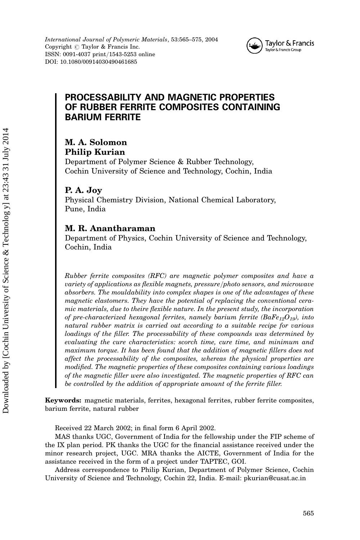

## PROCESSABILITY AND MAGNETIC PROPERTIES OF RUBBER FERRITE COMPOSITES CONTAINING BARIUM FERRITE

## M. A. Solomon Philip Kurian

Department of Polymer Science & Rubber Technology, Cochin University of Science and Technology, Cochin, India

#### P. A. Joy

Physical Chemistry Division, National Chemical Laboratory, Pune, India

#### M. R. Anantharaman

Department of Physics, Cochin University of Science and Technology, Cochin, India

Rubber ferrite composites (RFC) are magnetic polymer composites and have a variety of applications as flexible magnets, pressure/photo sensors, and microwave absorbers. The mouldability into complex shapes is one of the advantages of these magnetic elastomers. They have the potential of replacing the conventional ceramic materials, due to theire flexible nature. In the present study, the incorporation of pre-characterized hexagonal ferrites, namely barium ferrite ( $BaFe_{12}O_{19}$ ), into natural rubber matrix is carried out according to a suitable recipe for various loadings of the filler. The processability of these compounds was determined by evaluating the cure characteristics: scorch time, cure time, and minimum and maximum torque. It has been found that the addition of magnetic fillers does not affect the processability of the composites, whereas the physical properties are modified. The magnetic properties of these composites containing various loadings of the magnetic filler were also investigated. The magnetic properties of RFC can be controlled by the addition of appropriate amount of the ferrite filler.

Keywords: magnetic materials, ferrites, hexagonal ferrites, rubber ferrite composites, barium ferrite, natural rubber

Received 22 March 2002; in final form 6 April 2002.

MAS thanks UGC, Government of India for the fellowship under the FIP scheme of the IX plan period. PK thanks the UGC for the financial assistance received under the minor research project, UGC. MRA thanks the AICTE, Government of India for the assistance received in the form of a project under TAPTEC, GOI.

Address correspondence to Philip Kurian, Department of Polymer Science, Cochin University of Science and Technology, Cochin 22, India. E-mail: pkurian@cusat.ac.in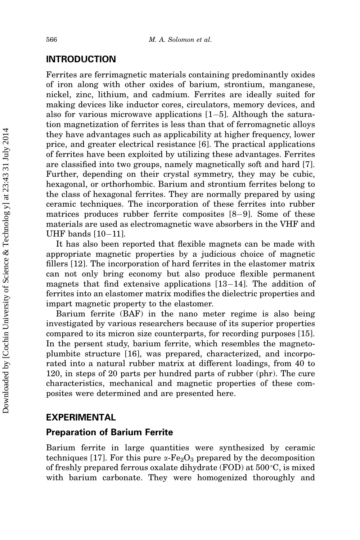#### INTRODUCTION

Ferrites are ferrimagnetic materials containing predominantly oxides of iron along with other oxides of barium, strontium, manganese, nickel, zinc, lithium, and cadmium. Ferrites are ideally suited for making devices like inductor cores, circulators, memory devices, and also for various microwave applications  $[1–5]$ . Although the saturation magnetization of ferrites is less than that of ferromagnetic alloys they have advantages such as applicability at higher frequency, lower price, and greater electrical resistance [6]. The practical applications of ferrites have been exploited by utilizing these advantages. Ferrites are classified into two groups, namely magnetically soft and hard [7]. Further, depending on their crystal symmetry, they may be cubic, hexagonal, or orthorhombic. Barium and strontium ferrites belong to the class of hexagonal ferrites. They are normally prepared by using ceramic techniques. The incorporation of these ferrites into rubber matrices produces rubber ferrite composites  $[8-9]$ . Some of these materials are used as electromagnetic wave absorbers in the VHF and UHF bands  $[10-11]$ .

It has also been reported that flexible magnets can be made with appropriate magnetic properties by a judicious choice of magnetic fillers [12]. The incorporation of hard ferrites in the elastomer matrix can not only bring economy but also produce flexible permanent magnets that find extensive applications  $[13-14]$ . The addition of ferrites into an elastomer matrix modifies the dielectric properties and impart magnetic property to the elastomer.

Barium ferrite (BAF) in the nano meter regime is also being investigated by various researchers because of its superior properties compared to its micron size counterparts, for recording purposes [15]. In the persent study, barium ferrite, which resembles the magnetoplumbite structure [16], was prepared, characterized, and incorporated into a natural rubber matrix at different loadings, from 40 to 120, in steps of 20 parts per hundred parts of rubber (phr). The cure characteristics, mechanical and magnetic properties of these composites were determined and are presented here.

#### EXPERIMENTAL

#### Preparation of Barium Ferrite

Barium ferrite in large quantities were synthesized by ceramic techniques [17]. For this pure  $\alpha$ -Fe<sub>2</sub>O<sub>3</sub> prepared by the decomposition of freshly prepared ferrous oxalate dihydrate (FOD) at  $500^{\circ}$ C, is mixed with barium carbonate. They were homogenized thoroughly and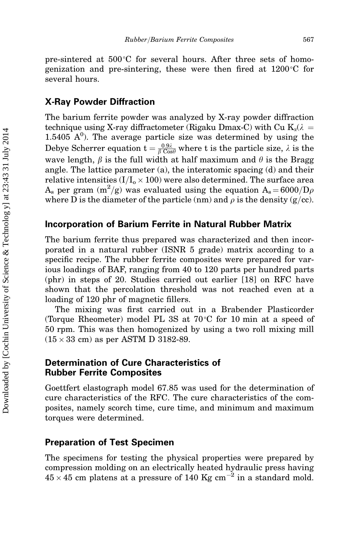pre-sintered at  $500^{\circ}$ C for several hours. After three sets of homogenization and pre-sintering, these were then fired at  $1200^{\circ}$ C for several hours.

#### X-Ray Powder Diffraction

The barium ferrite powder was analyzed by X-ray powder diffraction technique using X-ray diffractometer (Rigaku Dmax-C) with Cu  $K_{\alpha}(\lambda =$  $1.5405$   $A^0$ ). The average particle size was determined by using the Debye Scherrer equation  $t = \frac{0.9\lambda}{\beta \text{ Cos}\theta}$  where t is the particle size,  $\lambda$  is the wave length,  $\beta$  is the full width at half maximum and  $\theta$  is the Bragg angle. The lattice parameter (a), the interatomic spacing (d) and their relative intensities (I/I $_{\rm o}$   $\times$  100) were also determined. The surface area  $\rm A_s$  per gram  $\rm (m^2/g)$  was evaluated using the equation  $\rm A_s\!=\!6000/D\rho$ where D is the diameter of the particle (nm) and  $\rho$  is the density (g/cc).

#### Incorporation of Barium Ferrite in Natural Rubber Matrix

The barium ferrite thus prepared was characterized and then incorporated in a natural rubber (ISNR 5 grade) matrix according to a specific recipe. The rubber ferrite composites were prepared for various loadings of BAF, ranging from 40 to 120 parts per hundred parts (phr) in steps of 20. Studies carried out earlier [18] on RFC have shown that the percolation threshold was not reached even at a loading of 120 phr of magnetic fillers.

The mixing was first carried out in a Brabender Plasticorder (Torque Rheometer) model PL 3S at  $70^{\circ}$ C for 10 min at a speed of 50 rpm. This was then homogenized by using a two roll mixing mill  $(15 \times 33 \text{ cm})$  as per ASTM D 3182-89.

#### Determination of Cure Characteristics of Rubber Ferrite Composites

Goettfert elastograph model 67.85 was used for the determination of cure characteristics of the RFC. The cure characteristics of the composites, namely scorch time, cure time, and minimum and maximum torques were determined.

#### Preparation of Test Specimen

The specimens for testing the physical properties were prepared by compression molding on an electrically heated hydraulic press having  $45 \times 45$  cm platens at a pressure of 140 Kg cm<sup>-2</sup> in a standard mold.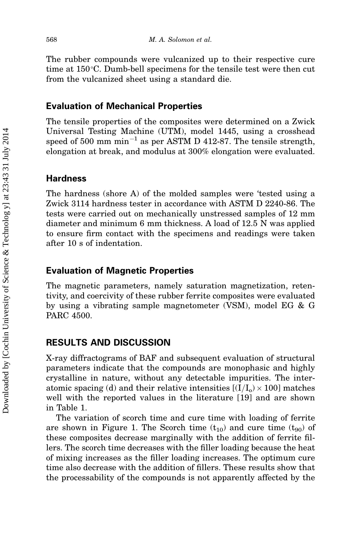The rubber compounds were vulcanized up to their respective cure time at  $150^{\circ}$ C. Dumb-bell specimens for the tensile test were then cut from the vulcanized sheet using a standard die.

#### Evaluation of Mechanical Properties

The tensile properties of the composites were determined on a Zwick Universal Testing Machine (UTM), model 1445, using a crosshead speed of 500 mm  $min^{-1}$  as per ASTM D 412-87. The tensile strength, elongation at break, and modulus at 300% elongation were evaluated.

#### **Hardness**

The hardness (shore A) of the molded samples were 'tested using a Zwick 3114 hardness tester in accordance with ASTM D 2240-86. The tests were carried out on mechanically unstressed samples of 12 mm diameter and minimum 6 mm thickness. A load of 12.5 N was applied to ensure firm contact with the specimens and readings were taken after 10 s of indentation.

#### Evaluation of Magnetic Properties

The magnetic parameters, namely saturation magnetization, retentivity, and coercivity of these rubber ferrite composites were evaluated by using a vibrating sample magnetometer (VSM), model EG & G PARC 4500.

#### RESULTS AND DISCUSSION

X-ray diffractograms of BAF and subsequent evaluation of structural parameters indicate that the compounds are monophasic and highly crystalline in nature, without any detectable impurities. The interatomic spacing (d) and their relative intensities  $\left[({\rm I}/{\rm I_o})\times 100\right]$  matches well with the reported values in the literature [19] and are shown in Table 1.

The variation of scorch time and cure time with loading of ferrite are shown in Figure 1. The Scorch time  $(t_{10})$  and cure time  $(t_{90})$  of these composites decrease marginally with the addition of ferrite fillers. The scorch time decreases with the filler loading because the heat of mixing increases as the filler loading increases. The optimum cure time also decrease with the addition of fillers. These results show that the processability of the compounds is not apparently affected by the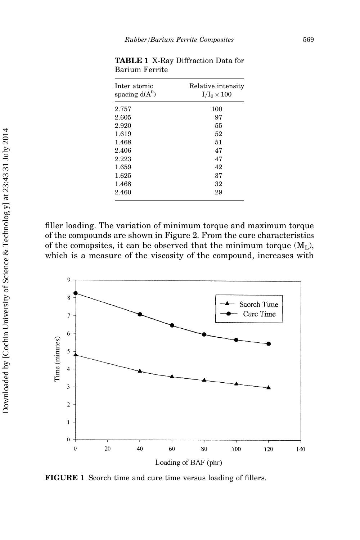| Inter atomic<br>spacing $d(A^0)$ | Relative intensity<br>$I/I_0 \times 100$ |  |  |
|----------------------------------|------------------------------------------|--|--|
| 2.757                            | 100                                      |  |  |
| 2.605                            | 97                                       |  |  |
| 2.920                            | 55                                       |  |  |
| 1.619                            | 52                                       |  |  |
| 1.468                            | 51                                       |  |  |
| 2.406                            | 47                                       |  |  |
| 2.223                            | 47                                       |  |  |
| 1.659                            | 42                                       |  |  |
| 1.625                            | 37                                       |  |  |
| 1.468                            | 32                                       |  |  |
| 2.460                            | 29                                       |  |  |

TABLE 1 X-Ray Diffraction Data for Barium Ferrite

filler loading. The variation of minimum torque and maximum torque of the compounds are shown in Figure 2. From the cure characteristics of the comopsites, it can be observed that the minimum torque  $(M<sub>L</sub>)$ , which is a measure of the viscosity of the compound, increases with



FIGURE 1 Scorch time and cure time versus loading of fillers.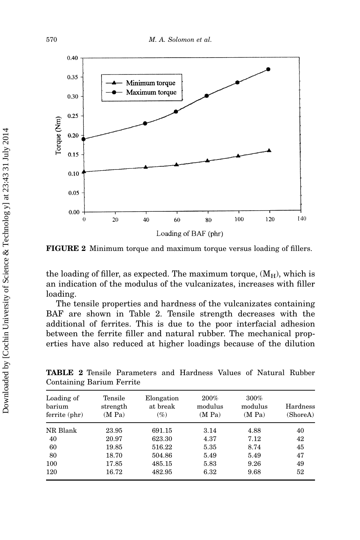

FIGURE 2 Minimum torque and maximum torque versus loading of fillers.

the loading of filler, as expected. The maximum torque,  $(M_H)$ , which is an indication of the modulus of the vulcanizates, increases with filler loading.

The tensile properties and hardness of the vulcanizates containing BAF are shown in Table 2. Tensile strength decreases with the additional of ferrites. This is due to the poor interfacial adhesion between the ferrite filler and natural rubber. The mechanical properties have also reduced at higher loadings because of the dilution

| Loading of<br>barium<br>ferrite (phr) | Tensile<br>strength<br>(M Pa) | Elongation<br>at break<br>$(\%)$ | $200\%$<br>modulus<br>(M Pa) | $300\%$<br>modulus<br>(M Pa) | Hardness<br>(ShoreA) |
|---------------------------------------|-------------------------------|----------------------------------|------------------------------|------------------------------|----------------------|
| NR Blank                              | 23.95                         | 691.15                           | 3.14                         | 4.88                         | 40                   |
| 40                                    | 20.97                         | 623.30                           | 4.37                         | 7.12                         | 42                   |
| 60                                    | 19.85                         | 516.22                           | 5.35                         | 8.74                         | 45                   |
| 80                                    | 18.70                         | 504.86                           | 5.49                         | 5.49                         | 47                   |
| 100                                   | 17.85                         | 485.15                           | 5.83                         | 9.26                         | 49                   |
| 120                                   | 16.72                         | 482.95                           | 6.32                         | 9.68                         | 52                   |

TABLE 2 Tensile Parameters and Hardness Values of Natural Rubber Containing Barium Ferrite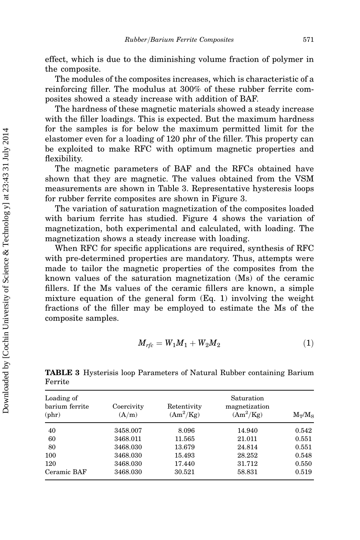effect, which is due to the diminishing volume fraction of polymer in the composite.

The modules of the composites increases, which is characteristic of a reinforcing filler. The modulus at 300% of these rubber ferrite composites showed a steady increase with addition of BAF.

The hardness of these magnetic materials showed a steady increase with the filler loadings. This is expected. But the maximum hardness for the samples is for below the maximum permitted limit for the elastomer even for a loading of 120 phr of the filler. This property can be exploited to make RFC with optimum magnetic properties and flexibility.

The magnetic parameters of BAF and the RFCs obtained have shown that they are magnetic. The values obtained from the VSM measurements are shown in Table 3. Representative hysteresis loops for rubber ferrite composites are shown in Figure 3.

The variation of saturation magnetization of the composites loaded with barium ferrite has studied. Figure 4 shows the variation of magnetization, both experimental and calculated, with loading. The magnetization shows a steady increase with loading.

When RFC for specific applications are required, synthesis of RFC with pre-determined properties are mandatory. Thus, attempts were made to tailor the magnetic properties of the composites from the known values of the saturation magnetization (Ms) of the ceramic fillers. If the Ms values of the ceramic fillers are known, a simple mixture equation of the general form (Eq. 1) involving the weight fractions of the filler may be employed to estimate the Ms of the composite samples.

$$
M_{rfc} = W_1 M_1 + W_2 M_2 \tag{1}
$$

Loading of Saturation barium ferrite Coercivity Retentivity magnetization (phr)  $(A/m)$   $(Am^2/Kg)$  $(Am^2/Kg)$  $M_T/M_S$ 40 3458.007 8.096 14.940 0.542 60 3468.011 11.565 21.011 0.551 80 3468.030 13.679 24.814 0.551 100 3468.030 15.493 28.252 0.548 120 3468.030 17.440 31.712 0.550 Ceramic BAF 3468.030 30.521 58.831 0.519

TABLE 3 Hysterisis loop Parameters of Natural Rubber containing Barium Ferrite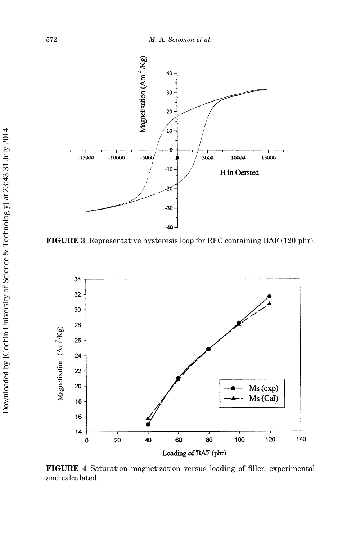

FIGURE 3 Representative hysteresis loop for RFC containing BAF (120 phr).



FIGURE 4 Saturation magnetization versus loading of filler, experimental and calculated.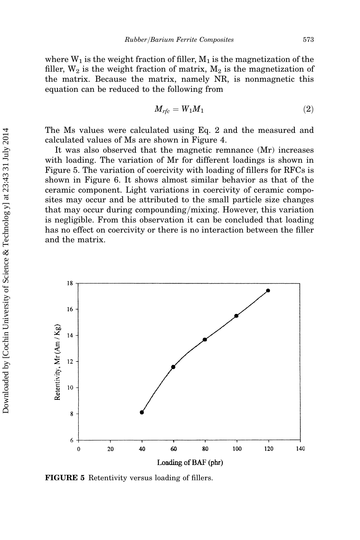where  $W_1$  is the weight fraction of filler,  $M_1$  is the magnetization of the filler,  $W_2$  is the weight fraction of matrix,  $M_2$  is the magnetization of the matrix. Because the matrix, namely NR, is nonmagnetic this equation can be reduced to the following from

$$
M_{rfc} = W_1 M_1 \tag{2}
$$

The Ms values were calculated using Eq. 2 and the measured and calculated values of Ms are shown in Figure 4.

It was also observed that the magnetic remnance (Mr) increases with loading. The variation of Mr for different loadings is shown in Figure 5. The variation of coercivity with loading of fillers for RFCs is shown in Figure 6. It shows almost similar behavior as that of the ceramic component. Light variations in coercivity of ceramic composites may occur and be attributed to the small particle size changes that may occur during compounding/mixing. However, this variation is negligible. From this observation it can be concluded that loading has no effect on coercivity or there is no interaction between the filler and the matrix.



FIGURE 5 Retentivity versus loading of fillers.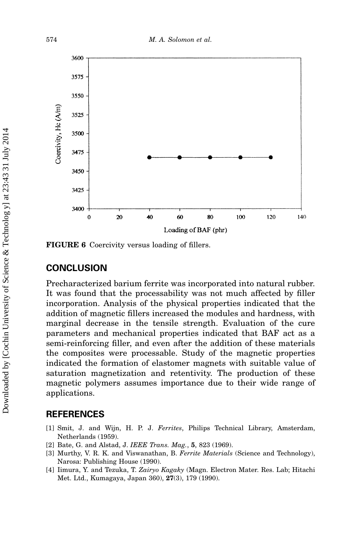

FIGURE 6 Coercivity versus loading of fillers.

### **CONCLUSION**

Precharacterized barium ferrite was incorporated into natural rubber. It was found that the processability was not much affected by filler incorporation. Analysis of the physical properties indicated that the addition of magnetic fillers increased the modules and hardness, with marginal decrease in the tensile strength. Evaluation of the cure parameters and mechanical properties indicated that BAF act as a semi-reinforcing filler, and even after the addition of these materials the composites were processable. Study of the magnetic properties indicated the formation of elastomer magnets with suitable value of saturation magnetization and retentivity. The production of these magnetic polymers assumes importance due to their wide range of applications.

#### REFERENCES

- [1] Smit, J. and Wijn, H. P. J. Ferrites, Philips Technical Library, Amsterdam, Netherlands (1959).
- [2] Bate, G. and Alstad, J. IEEE Trans. Mag., 5, 823 (1969).
- [3] Murthy, V. R. K. and Viswanathan, B. Ferrite Materials (Science and Technology), Narosa: Publishing House (1990).
- [4] Iimura, Y. and Tezuka, T. Zairyo Kagaky (Magn. Electron Mater. Res. Lab; Hitachi Met. Ltd., Kumagaya, Japan 360), 27(3), 179 (1990).